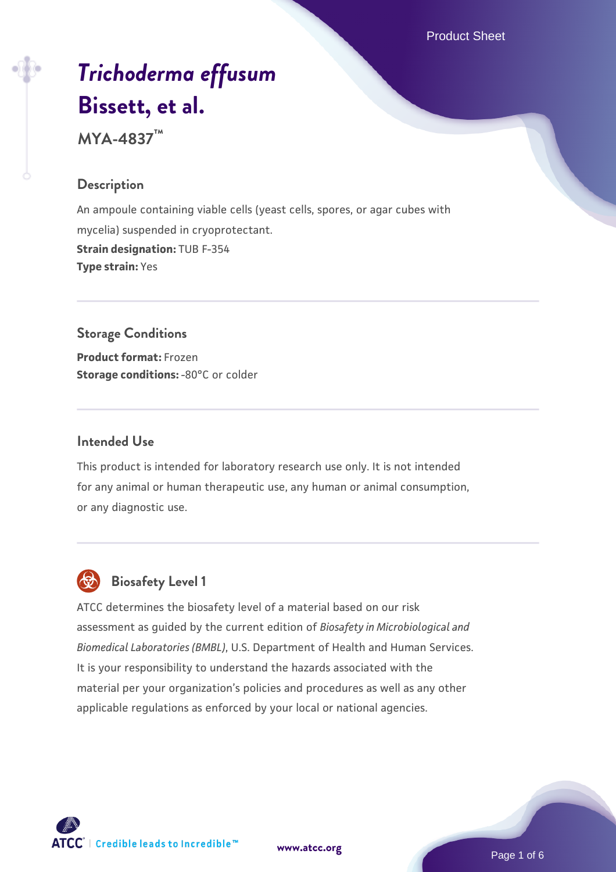Product Sheet

# *[Trichoderma effusum](https://www.atcc.org/products/mya-4837)* **[Bissett, et al.](https://www.atcc.org/products/mya-4837)**

**MYA-4837™**

#### **Description**

An ampoule containing viable cells (yeast cells, spores, or agar cubes with mycelia) suspended in cryoprotectant. **Strain designation:** TUB F-354 **Type strain:** Yes

# **Storage Conditions**

**Product format:** Frozen **Storage conditions: -80°C or colder** 

### **Intended Use**

This product is intended for laboratory research use only. It is not intended for any animal or human therapeutic use, any human or animal consumption, or any diagnostic use.



# **Biosafety Level 1**

ATCC determines the biosafety level of a material based on our risk assessment as guided by the current edition of *Biosafety in Microbiological and Biomedical Laboratories (BMBL)*, U.S. Department of Health and Human Services. It is your responsibility to understand the hazards associated with the material per your organization's policies and procedures as well as any other applicable regulations as enforced by your local or national agencies.

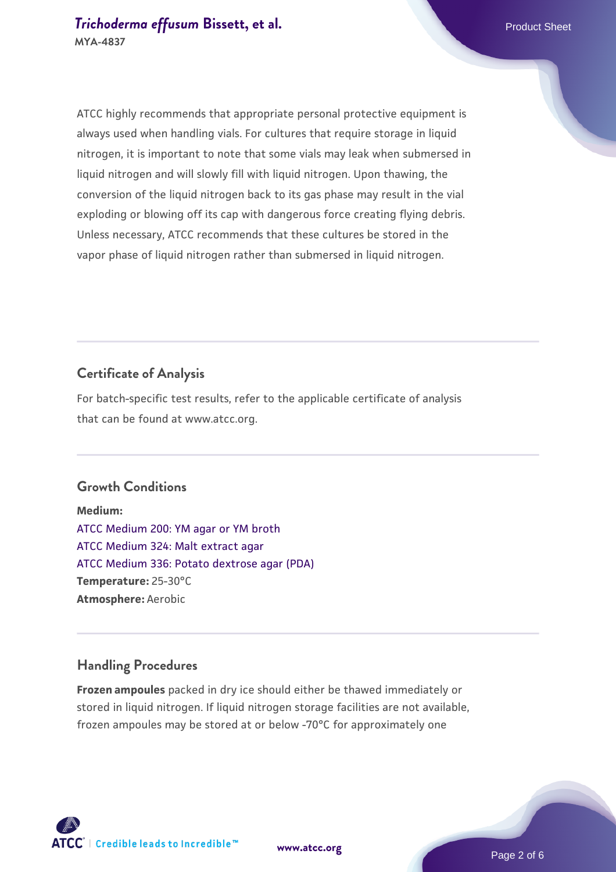#### **[Trichoderma effusum](https://www.atcc.org/products/mya-4837) [Bissett, et al.](https://www.atcc.org/products/mya-4837)** Product Sheet **MYA-4837**

ATCC highly recommends that appropriate personal protective equipment is always used when handling vials. For cultures that require storage in liquid nitrogen, it is important to note that some vials may leak when submersed in liquid nitrogen and will slowly fill with liquid nitrogen. Upon thawing, the conversion of the liquid nitrogen back to its gas phase may result in the vial exploding or blowing off its cap with dangerous force creating flying debris. Unless necessary, ATCC recommends that these cultures be stored in the vapor phase of liquid nitrogen rather than submersed in liquid nitrogen.

## **Certificate of Analysis**

For batch-specific test results, refer to the applicable certificate of analysis that can be found at www.atcc.org.

#### **Growth Conditions**

**Medium:**  [ATCC Medium 200: YM agar or YM broth](https://www.atcc.org/-/media/product-assets/documents/microbial-media-formulations/2/0/0/atcc-medium-200.pdf?rev=ac40fd74dc13433a809367b0b9da30fc) [ATCC Medium 324: Malt extract agar](https://www.atcc.org/-/media/product-assets/documents/microbial-media-formulations/3/2/4/atcc-medium-324.pdf?rev=5a8b3f6dcb23452d9462ec38b36f0bb6) [ATCC Medium 336: Potato dextrose agar \(PDA\)](https://www.atcc.org/-/media/product-assets/documents/microbial-media-formulations/3/3/6/atcc-medium-336.pdf?rev=d9160ad44d934cd8b65175461abbf3b9) **Temperature:** 25-30°C **Atmosphere:** Aerobic

#### **Handling Procedures**

**Frozen ampoules** packed in dry ice should either be thawed immediately or stored in liquid nitrogen. If liquid nitrogen storage facilities are not available, frozen ampoules may be stored at or below -70°C for approximately one

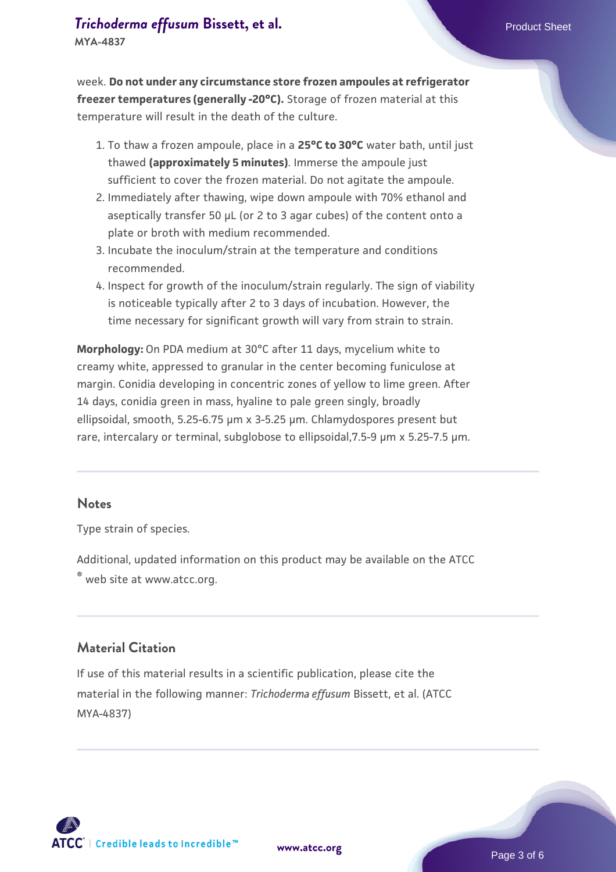# **[Trichoderma effusum](https://www.atcc.org/products/mya-4837) [Bissett, et al.](https://www.atcc.org/products/mya-4837)** Product Sheet

**MYA-4837**

week. **Do not under any circumstance store frozen ampoules at refrigerator freezer temperatures (generally -20°C).** Storage of frozen material at this temperature will result in the death of the culture.

- 1. To thaw a frozen ampoule, place in a **25°C to 30°C** water bath, until just thawed **(approximately 5 minutes)**. Immerse the ampoule just sufficient to cover the frozen material. Do not agitate the ampoule.
- 2. Immediately after thawing, wipe down ampoule with 70% ethanol and aseptically transfer 50 µL (or 2 to 3 agar cubes) of the content onto a plate or broth with medium recommended.
- Incubate the inoculum/strain at the temperature and conditions 3. recommended.
- 4. Inspect for growth of the inoculum/strain regularly. The sign of viability is noticeable typically after 2 to 3 days of incubation. However, the time necessary for significant growth will vary from strain to strain.

**Morphology:** On PDA medium at 30°C after 11 days, mycelium white to creamy white, appressed to granular in the center becoming funiculose at margin. Conidia developing in concentric zones of yellow to lime green. After 14 days, conidia green in mass, hyaline to pale green singly, broadly ellipsoidal, smooth, 5.25-6.75 µm x 3-5.25 µm. Chlamydospores present but rare, intercalary or terminal, subglobose to ellipsoidal,7.5-9 µm x 5.25-7.5 µm.

#### **Notes**

Type strain of species.

Additional, updated information on this product may be available on the ATCC

® web site at www.atcc.org.

#### **Material Citation**

If use of this material results in a scientific publication, please cite the material in the following manner: *Trichoderma effusum* Bissett, et al. (ATCC MYA-4837)

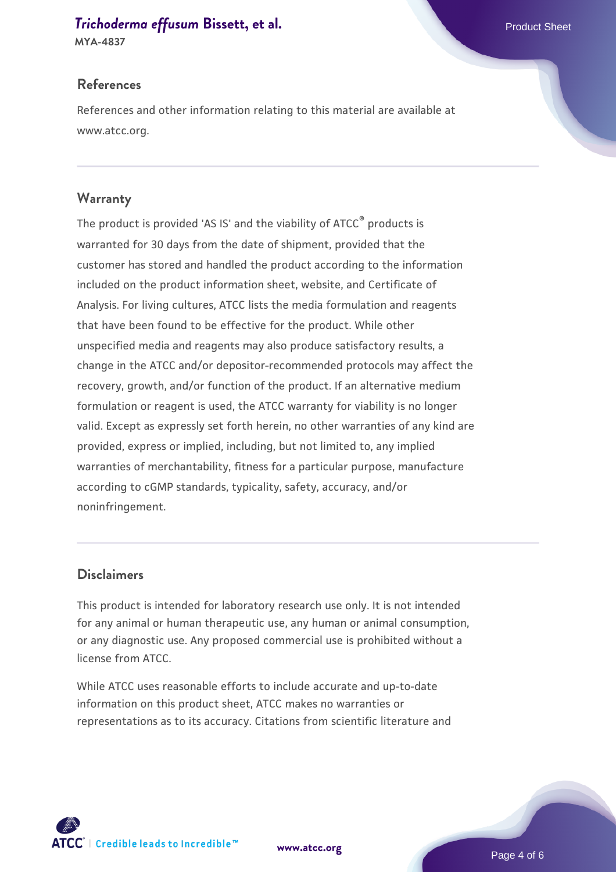#### **[Trichoderma effusum](https://www.atcc.org/products/mya-4837) [Bissett, et al.](https://www.atcc.org/products/mya-4837)** Product Sheet

**MYA-4837**

#### **References**

References and other information relating to this material are available at www.atcc.org.

#### **Warranty**

The product is provided 'AS IS' and the viability of ATCC® products is warranted for 30 days from the date of shipment, provided that the customer has stored and handled the product according to the information included on the product information sheet, website, and Certificate of Analysis. For living cultures, ATCC lists the media formulation and reagents that have been found to be effective for the product. While other unspecified media and reagents may also produce satisfactory results, a change in the ATCC and/or depositor-recommended protocols may affect the recovery, growth, and/or function of the product. If an alternative medium formulation or reagent is used, the ATCC warranty for viability is no longer valid. Except as expressly set forth herein, no other warranties of any kind are provided, express or implied, including, but not limited to, any implied warranties of merchantability, fitness for a particular purpose, manufacture according to cGMP standards, typicality, safety, accuracy, and/or noninfringement.

#### **Disclaimers**

This product is intended for laboratory research use only. It is not intended for any animal or human therapeutic use, any human or animal consumption, or any diagnostic use. Any proposed commercial use is prohibited without a license from ATCC.

While ATCC uses reasonable efforts to include accurate and up-to-date information on this product sheet, ATCC makes no warranties or representations as to its accuracy. Citations from scientific literature and

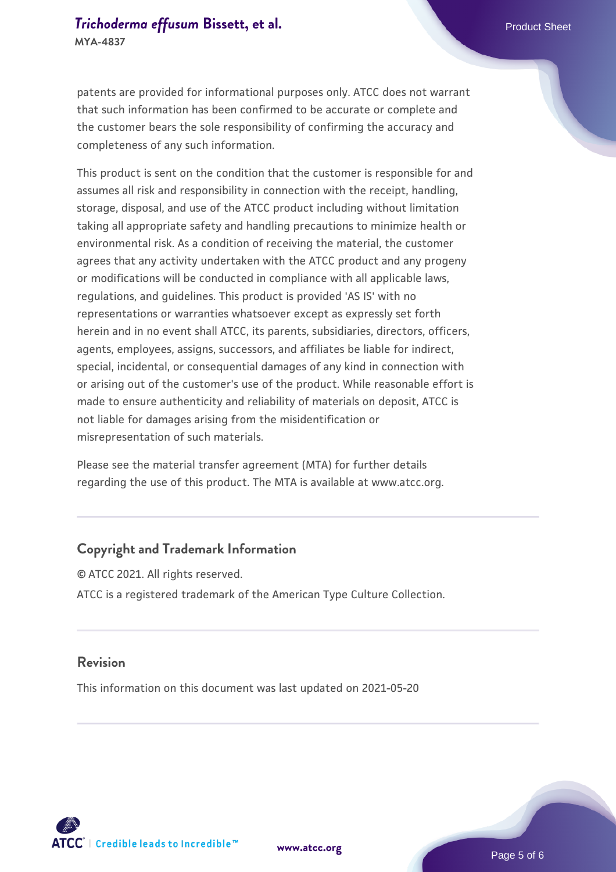patents are provided for informational purposes only. ATCC does not warrant that such information has been confirmed to be accurate or complete and the customer bears the sole responsibility of confirming the accuracy and completeness of any such information.

This product is sent on the condition that the customer is responsible for and assumes all risk and responsibility in connection with the receipt, handling, storage, disposal, and use of the ATCC product including without limitation taking all appropriate safety and handling precautions to minimize health or environmental risk. As a condition of receiving the material, the customer agrees that any activity undertaken with the ATCC product and any progeny or modifications will be conducted in compliance with all applicable laws, regulations, and guidelines. This product is provided 'AS IS' with no representations or warranties whatsoever except as expressly set forth herein and in no event shall ATCC, its parents, subsidiaries, directors, officers, agents, employees, assigns, successors, and affiliates be liable for indirect, special, incidental, or consequential damages of any kind in connection with or arising out of the customer's use of the product. While reasonable effort is made to ensure authenticity and reliability of materials on deposit, ATCC is not liable for damages arising from the misidentification or misrepresentation of such materials.

Please see the material transfer agreement (MTA) for further details regarding the use of this product. The MTA is available at www.atcc.org.

#### **Copyright and Trademark Information**

© ATCC 2021. All rights reserved. ATCC is a registered trademark of the American Type Culture Collection.

#### **Revision**

This information on this document was last updated on 2021-05-20